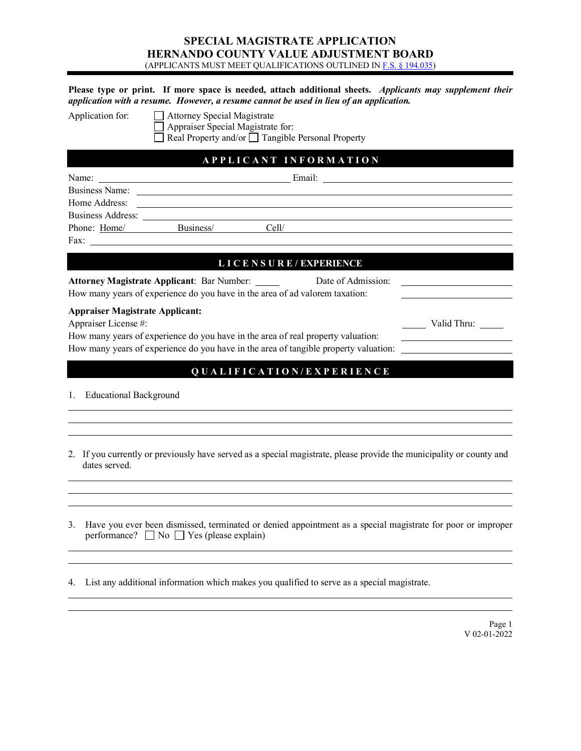### **SPECIAL MAGISTRATE APPLICATION HERNANDO COUNTY VALUE ADJUSTMENT BOARD** (APPLICANTS MUST MEET QUALIFICATIONS OUTLINED I[N F.S. § 194.035\)](http://archive.flsenate.gov/Statutes/index.cfm?App_mode=Display_Statute&Search_String=&URL=0100-0199/0194/Sections/0194.035.html)

|                                                                | Please type or print. If more space is needed, attach additional sheets. Applicants may supplement their<br>application with a resume. However, a resume cannot be used in lieu of an application. |             |
|----------------------------------------------------------------|----------------------------------------------------------------------------------------------------------------------------------------------------------------------------------------------------|-------------|
| Application for:                                               | Attorney Special Magistrate<br>Appraiser Special Magistrate for:<br>Real Property and/or □ Tangible Personal Property                                                                              |             |
|                                                                | APPLICANT INFORMATION                                                                                                                                                                              |             |
| Name:<br>Home Address:                                         | Phone: Home/ Business/ Cell/                                                                                                                                                                       |             |
| Fax:                                                           | <u> 1980 - John Stein, Amerikaansk politiker (</u>                                                                                                                                                 |             |
|                                                                | LICENSURE/EXPERIENCE                                                                                                                                                                               |             |
|                                                                | <b>Attorney Magistrate Applicant: Bar Number:</b><br>Date of Admission:<br>How many years of experience do you have in the area of ad valorem taxation:                                            |             |
| <b>Appraiser Magistrate Applicant:</b><br>Appraiser License #: | How many years of experience do you have in the area of real property valuation:<br>How many years of experience do you have in the area of tangible property valuation:                           | Valid Thru: |
| 1. Educational Background                                      | QUALIFICATION/EXPERIENCE                                                                                                                                                                           |             |
| dates served.                                                  | 2. If you currently or previously have served as a special magistrate, please provide the municipality or county and                                                                               |             |
|                                                                |                                                                                                                                                                                                    |             |

3. Have you ever been dismissed, terminated or denied appointment as a special magistrate for poor or improper performance?  $\Box$  No  $\Box$  Yes (please explain)

4. List any additional information which makes you qualified to serve as a special magistrate.

Page 1 V 02-01-2022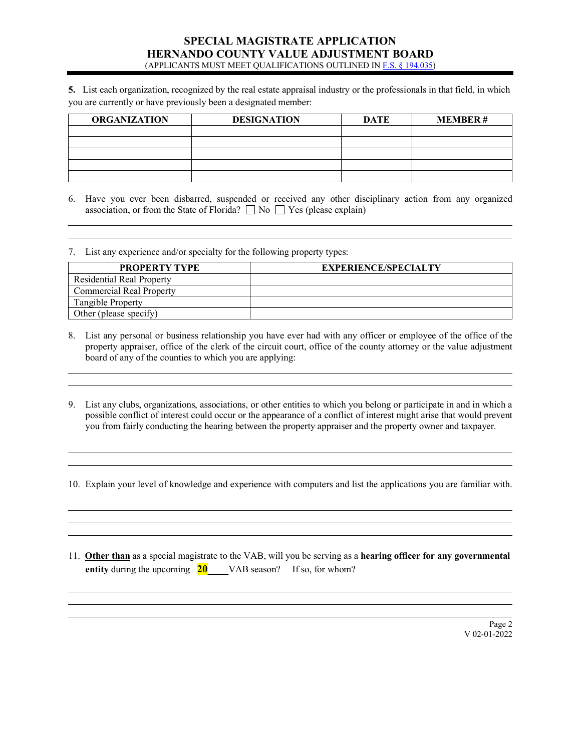#### **SPECIAL MAGISTRATE APPLICATION HERNANDO COUNTY VALUE ADJUSTMENT BOARD** (APPLICANTS MUST MEET QUALIFICATIONS OUTLINED I[N F.S. § 194.035\)](http://archive.flsenate.gov/Statutes/index.cfm?App_mode=Display_Statute&Search_String=&URL=0100-0199/0194/Sections/0194.035.html)

**5.** List each organization, recognized by the real estate appraisal industry or the professionals in that field, in which you are currently or have previously been a designated member:

| <b>ORGANIZATION</b> | <b>DESIGNATION</b> | <b>DATE</b> | <b>MEMBER#</b> |
|---------------------|--------------------|-------------|----------------|
|                     |                    |             |                |
|                     |                    |             |                |
|                     |                    |             |                |
|                     |                    |             |                |
|                     |                    |             |                |

6. Have you ever been disbarred, suspended or received any other disciplinary action from any organized association, or from the State of Florida?  $\Box$  No  $\Box$  Yes (please explain)

<u> 1980 - Johann Stoff, deutscher Stoff, der Stoff, der Stoff, der Stoff, der Stoff, der Stoff, der Stoff, der </u>

7. List any experience and/or specialty for the following property types:

l l

l l

l l

l l l

l l l

| <b>PROPERTY TYPE</b>             | <b>EXPERIENCE/SPECIALTY</b> |
|----------------------------------|-----------------------------|
| <b>Residential Real Property</b> |                             |
| <b>Commercial Real Property</b>  |                             |
| Tangible Property                |                             |
| Other (please specify)           |                             |

- 8. List any personal or business relationship you have ever had with any officer or employee of the office of the property appraiser, office of the clerk of the circuit court, office of the county attorney or the value adjustment board of any of the counties to which you are applying:
- 9. List any clubs, organizations, associations, or other entities to which you belong or participate in and in which a possible conflict of interest could occur or the appearance of a conflict of interest might arise that would prevent you from fairly conducting the hearing between the property appraiser and the property owner and taxpayer.

10. Explain your level of knowledge and experience with computers and list the applications you are familiar with.

11. **Other than** as a special magistrate to the VAB, will you be serving as a **hearing officer for any governmental entity** during the upcoming **20** VAB season? If so, for whom?

> Page 2 V 02-01-2022